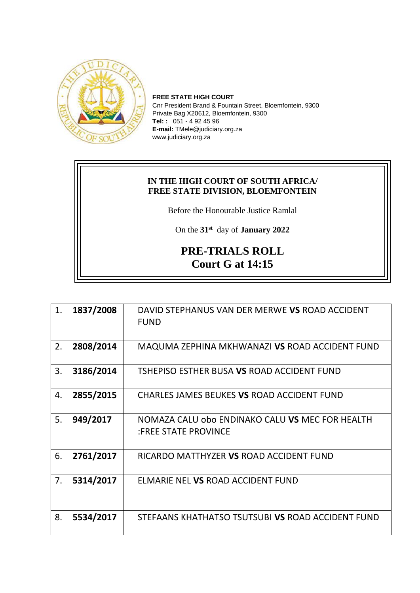

**FREE STATE HIGH COURT** Cnr President Brand & Fountain Street, Bloemfontein, 9300 Private Bag X20612, Bloemfontein, 9300 **Tel: :** 051 - 4 92 45 96 **E-mail:** TMele@judiciary.org.za www.judiciary.org.za

## **IN THE HIGH COURT OF SOUTH AFRICA/ FREE STATE DIVISION, BLOEMFONTEIN**

Before the Honourable Justice Ramlal

On the **31st** day of **January 2022**

## **PRE-TRIALS ROLL Court G at 14:15**

| 1. | 1837/2008 | DAVID STEPHANUS VAN DER MERWE VS ROAD ACCIDENT                                 |
|----|-----------|--------------------------------------------------------------------------------|
|    |           | <b>FUND</b>                                                                    |
| 2. | 2808/2014 | MAQUMA ZEPHINA MKHWANAZI VS ROAD ACCIDENT FUND                                 |
| 3. | 3186/2014 | TSHEPISO ESTHER BUSA VS ROAD ACCIDENT FUND                                     |
| 4. | 2855/2015 | CHARLES JAMES BEUKES VS ROAD ACCIDENT FUND                                     |
| 5. | 949/2017  | NOMAZA CALU obo ENDINAKO CALU VS MEC FOR HEALTH<br><b>:FREE STATE PROVINCE</b> |
| 6. | 2761/2017 | RICARDO MATTHYZER VS ROAD ACCIDENT FUND                                        |
| 7. | 5314/2017 | ELMARIE NEL VS ROAD ACCIDENT FUND                                              |
| 8. | 5534/2017 | STEFAANS KHATHATSO TSUTSUBI VS ROAD ACCIDENT FUND                              |